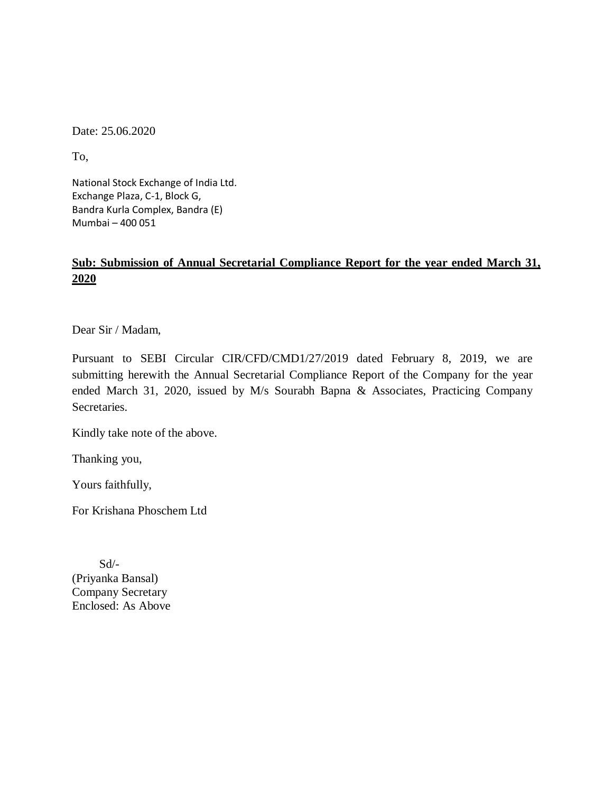Date: 25.06.2020

To,

National Stock Exchange of India Ltd. Exchange Plaza, C-1, Block G, Bandra Kurla Complex, Bandra (E) Mumbai – 400 051

## **Sub: Submission of Annual Secretarial Compliance Report for the year ended March 31, 2020**

Dear Sir / Madam,

Pursuant to SEBI Circular CIR/CFD/CMD1/27/2019 dated February 8, 2019, we are submitting herewith the Annual Secretarial Compliance Report of the Company for the year ended March 31, 2020, issued by M/s Sourabh Bapna & Associates, Practicing Company Secretaries.

Kindly take note of the above.

Thanking you,

Yours faithfully,

For Krishana Phoschem Ltd

 Sd/- (Priyanka Bansal) Company Secretary Enclosed: As Above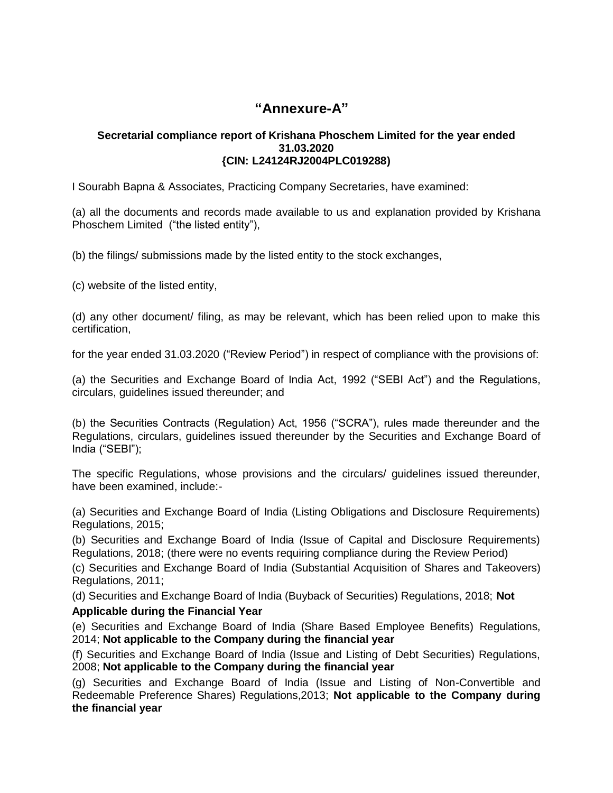## **"Annexure-A"**

#### **Secretarial compliance report of Krishana Phoschem Limited for the year ended 31.03.2020 {CIN: L24124RJ2004PLC019288)**

I Sourabh Bapna & Associates, Practicing Company Secretaries, have examined:

(a) all the documents and records made available to us and explanation provided by Krishana Phoschem Limited ("the listed entity"),

(b) the filings/ submissions made by the listed entity to the stock exchanges,

(c) website of the listed entity,

(d) any other document/ filing, as may be relevant, which has been relied upon to make this certification,

for the year ended 31.03.2020 ("Review Period") in respect of compliance with the provisions of:

(a) the Securities and Exchange Board of India Act, 1992 ("SEBI Act") and the Regulations, circulars, guidelines issued thereunder; and

(b) the Securities Contracts (Regulation) Act, 1956 ("SCRA"), rules made thereunder and the Regulations, circulars, guidelines issued thereunder by the Securities and Exchange Board of India ("SEBI");

The specific Regulations, whose provisions and the circulars/ guidelines issued thereunder, have been examined, include:-

(a) Securities and Exchange Board of India (Listing Obligations and Disclosure Requirements) Regulations, 2015;

(b) Securities and Exchange Board of India (Issue of Capital and Disclosure Requirements) Regulations, 2018; (there were no events requiring compliance during the Review Period)

(c) Securities and Exchange Board of India (Substantial Acquisition of Shares and Takeovers) Regulations, 2011;

(d) Securities and Exchange Board of India (Buyback of Securities) Regulations, 2018; **Not**

#### **Applicable during the Financial Year**

(e) Securities and Exchange Board of India (Share Based Employee Benefits) Regulations, 2014; **Not applicable to the Company during the financial year**

(f) Securities and Exchange Board of India (Issue and Listing of Debt Securities) Regulations, 2008; **Not applicable to the Company during the financial year**

(g) Securities and Exchange Board of India (Issue and Listing of Non-Convertible and Redeemable Preference Shares) Regulations,2013; **Not applicable to the Company during the financial year**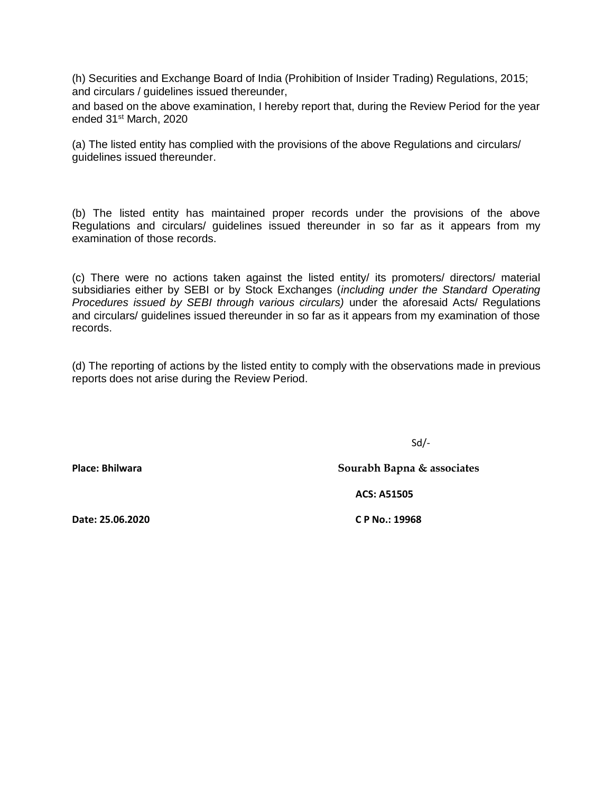(h) Securities and Exchange Board of India (Prohibition of Insider Trading) Regulations, 2015; and circulars / guidelines issued thereunder,

and based on the above examination, I hereby report that, during the Review Period for the year ended 31<sup>st</sup> March, 2020

(a) The listed entity has complied with the provisions of the above Regulations and circulars/ guidelines issued thereunder.

(b) The listed entity has maintained proper records under the provisions of the above Regulations and circulars/ guidelines issued thereunder in so far as it appears from my examination of those records.

(c) There were no actions taken against the listed entity/ its promoters/ directors/ material subsidiaries either by SEBI or by Stock Exchanges (*including under the Standard Operating Procedures issued by SEBI through various circulars)* under the aforesaid Acts/ Regulations and circulars/ guidelines issued thereunder in so far as it appears from my examination of those records.

(d) The reporting of actions by the listed entity to comply with the observations made in previous reports does not arise during the Review Period.

Sd/-

**Place: Bhilwara Sourabh Bapna & associates**

 **ACS: A51505**

**Date: 25.06.2020 C P No.: 19968**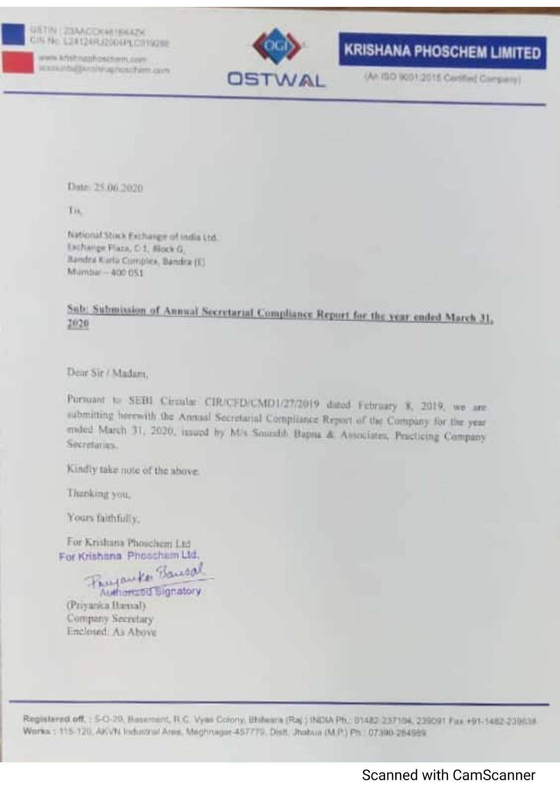### **GRTIN ZISAACCRAINEEZH** CIN No. 124124R12004PLC019288

www.krishnaphoschwm.com IEEEA PAGEM-SN SCIENCE FROM CENT



## **KRISHANA PHOSCHEM LIMITED**

(An ISO 5001:2015 Certified Company)

Date: 25.06.2020

TH.

hiational Stock Exchange of India Ltd. Exchange Plaza, C-1, Block G. Bandra Kurta Complex, Bandra (6). Mumbai - 400 051

## Sub: Submission of Annual Secretarial Compliance Report for the year ended March 31, 2020

Dem Sir / Madam.

Pursuant to SEBI Circular CIR/CFD/CMD1/27/2019 dated February 8, 2019, we are submitting herewith the Annual Secretarial Compliance Report of the Company for the year ended March 31, 2020, issued by M/s Sourabb Baptia & Associates, Practicing Company Secretaries.

Kindly take note of the above.

Thanking you,

Yours faithfully,

For Krishana Phoschern Ltd. For Krishana Phoschem Ltd.

Fayauke Bausal Authorized Signatory

(Priyanica Hamal). Company Secretary Enclosed: As Above

Registered off. : 5-0-20, Basement, R.C. Vyas Colony, Bhilwara (Raj.) (NDIA Ph., 01482-237104, 239091 Fax +91-1482-239/118 Works: 115-120, AKVN Industrial Area: Meghnager-457779, Distr. Jhabua (M.P.) Ph.: 07390-284939.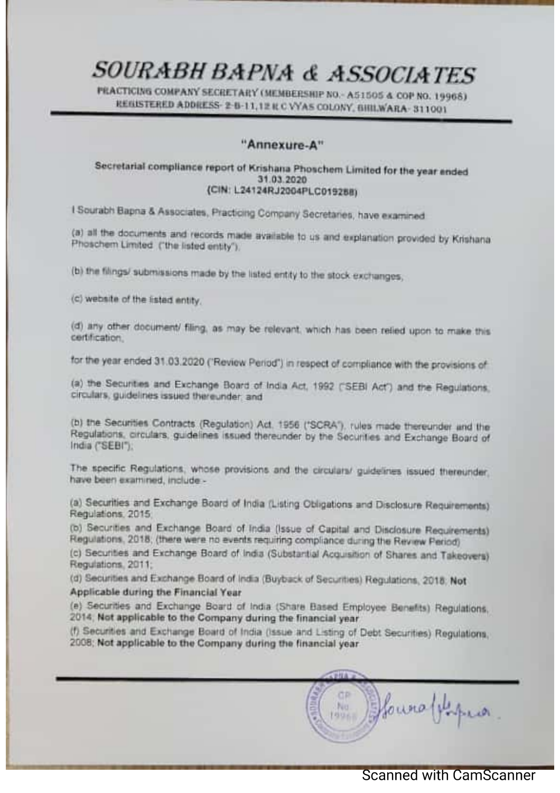# SOURABH BAPNA & ASSOCIATES

PEACTICING COMPANY SECRETARY (MEMBERSHIP NO. - A51505 & COP NO. 19965) REGISTERED ADDRESS- 2-6-11,12 R C VYAS COLONY, GIIILWARA- 311001

## "Annexure-A"

### Secretarial compliance report of Krishana Phoschem Limited for the year ended 31.03.2020 (CIN: L24124RJ2004PLC019288)

I Sourabh Bapna & Associates, Practicing Company Secretaries, have examined

(a) all the documents and records made available to us and explanation provided by Krishana. Phoschem Limited ("the listed entity").

(b) the filings/ submissions made by the listed entity to the stock exchanges,

(c) website of the listed entity.

(d) any other document/ filing, as may be relevant, which has been relied upon to make this certification.

for the year ended 31.03.2020 ('Review Period') in respect of compliance with the provisions of

(a) the Securities and Exchange Board of India Act, 1992 ("SEBI Act") and the Regulations. circulars, guidelines issued thereunder, and

(b) the Securities Contracts (Regulation) Act, 1956 ('SCRA'), rules made thereunder and the Regulations, circulars, guidelines issued thereunder by the Securities and Exchange Board of India ("SEBI"):

The specific Regulations, whose provisions and the circulars/ guidelines issued thereunder. have been examined, include -

(a) Securities and Exchange Board of India (Listing Obigations and Disclosure Requirements). Regulations, 2015

(b) Securities and Exchange Board of India (Issue of Capital and Disclosure Requirements) Requisions. 2018; (there were no events requiring compliance during the Review Period).

(c) Securities and Exchange Board of India (Substantial Acquisition of Shares and Takeovers). Regulations, 2011;

(d) Securities and Exchange Board of India (Buyback of Securities) Regulations, 2018; Not

Applicable during the Financial Year

(e) Securities and Exchange Board of India (Share Based Employee Benefits) Regulations. 2014; Not applicable to the Company during the financial year.

(f) Securities and Exchange Board of India (Issue and Listing of Debt Securities) Regulations. 2008; Not applicable to the Company during the financial year

**THA** fouroffique. No. **BU**L